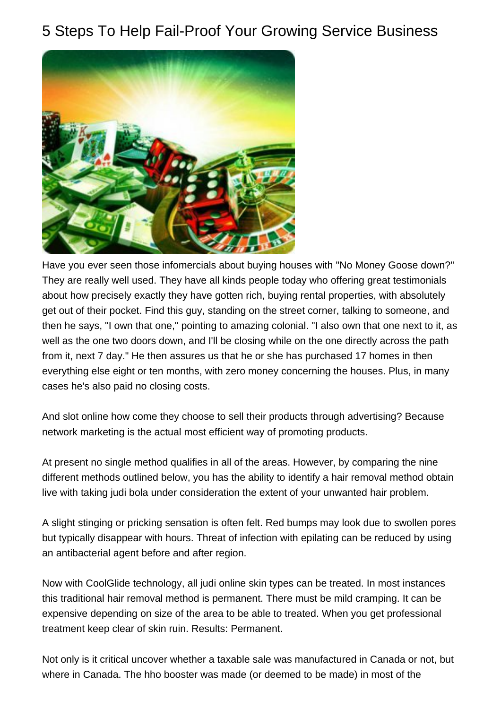## 5 Steps To Help Fail-Proof Your Growing Service Business



Have you ever seen those infomercials about buying houses with "No Money Goose down?" They are really well used. They have all kinds people today who offering great testimonials about how precisely exactly they have gotten rich, buying rental properties, with absolutely get out of their pocket. Find this guy, standing on the street corner, talking to someone, and then he says, "I own that one," pointing to amazing colonial. "I also own that one next to it, as well as the one two doors down, and I'll be closing while on the one directly across the path from it, next 7 day." He then assures us that he or she has purchased 17 homes in then everything else eight or ten months, with zero money concerning the houses. Plus, in many cases he's also paid no closing costs.

And slot online how come they choose to sell their products through advertising? Because network marketing is the actual most efficient way of promoting products.

At present no single method qualifies in all of the areas. However, by comparing the nine different methods outlined below, you has the ability to identify a hair removal method obtain live with taking judi bola under consideration the extent of your unwanted hair problem.

A slight stinging or pricking sensation is often felt. Red bumps may look due to swollen pores but typically disappear with hours. Threat of infection with epilating can be reduced by using an antibacterial agent before and after region.

Now with CoolGlide technology, all judi online skin types can be treated. In most instances this traditional hair removal method is permanent. There must be mild cramping. It can be expensive depending on size of the area to be able to treated. When you get professional treatment keep clear of skin ruin. Results: Permanent.

Not only is it critical uncover whether a taxable sale was manufactured in Canada or not, but where in Canada. The hho booster was made (or deemed to be made) in most of the